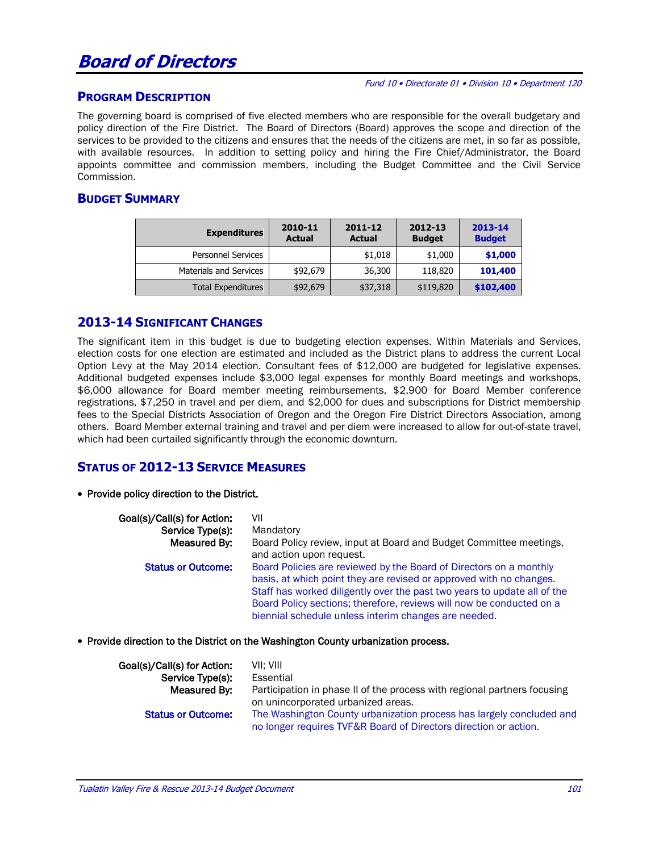## **Board of Directors**

#### Fund 10 • Directorate 01 • Division 10 • Department 120

## **PROGRAM DESCRIPTION**

The governing board is comprised of five elected members who are responsible for the overall budgetary and policy direction of the Fire District. The Board of Directors (Board) approves the scope and direction of the services to be provided to the citizens and ensures that the needs of the citizens are met, in so far as possible, with available resources. In addition to setting policy and hiring the Fire Chief/Administrator, the Board appoints committee and commission members, including the Budget Committee and the Civil Service Commission.

## **BUDGET SUMMARY**

| <b>Expenditures</b>       | 2010-11<br><b>Actual</b> | 2011-12<br><b>Actual</b> | 2012-13<br><b>Budget</b> | 2013-14<br><b>Budget</b> |  |
|---------------------------|--------------------------|--------------------------|--------------------------|--------------------------|--|
| <b>Personnel Services</b> |                          | \$1,018                  | \$1,000                  | \$1,000                  |  |
| Materials and Services    | \$92,679                 | 36,300                   | 118,820                  | 101,400                  |  |
| <b>Total Expenditures</b> | \$92,679                 | \$37,318                 | \$119,820                | \$102,400                |  |

## **2013-14 SIGNIFICANT CHANGES**

The significant item in this budget is due to budgeting election expenses. Within Materials and Services, election costs for one election are estimated and included as the District plans to address the current Local Option Levy at the May 2014 election. Consultant fees of \$12,000 are budgeted for legislative expenses. Additional budgeted expenses include \$3,000 legal expenses for monthly Board meetings and workshops, \$6,000 allowance for Board member meeting reimbursements, \$2,900 for Board Member conference registrations, \$7,250 in travel and per diem, and \$2,000 for dues and subscriptions for District membership fees to the Special Districts Association of Oregon and the Oregon Fire District Directors Association, among others. Board Member external training and travel and per diem were increased to allow for out-of-state travel, which had been curtailed significantly through the economic downturn.

## **STATUS OF 2012-13 SERVICE MEASURES**

• Provide policy direction to the District.

| Goal(s)/Call(s) for Action: | VII                                                                                                                                                                                                                                                                                                                                                   |
|-----------------------------|-------------------------------------------------------------------------------------------------------------------------------------------------------------------------------------------------------------------------------------------------------------------------------------------------------------------------------------------------------|
| Service Type(s):            | Mandatory                                                                                                                                                                                                                                                                                                                                             |
| Measured By:                | Board Policy review, input at Board and Budget Committee meetings,<br>and action upon request.                                                                                                                                                                                                                                                        |
| <b>Status or Outcome:</b>   | Board Policies are reviewed by the Board of Directors on a monthly<br>basis, at which point they are revised or approved with no changes.<br>Staff has worked diligently over the past two years to update all of the<br>Board Policy sections; therefore, reviews will now be conducted on a<br>biennial schedule unless interim changes are needed. |

#### • Provide direction to the District on the Washington County urbanization process.

| Goal(s)/Call(s) for Action: | VII: VIII                                                                                                                                |
|-----------------------------|------------------------------------------------------------------------------------------------------------------------------------------|
| Service Type(s):            | Essential                                                                                                                                |
| Measured By:                | Participation in phase II of the process with regional partners focusing<br>on unincorporated urbanized areas.                           |
| <b>Status or Outcome:</b>   | The Washington County urbanization process has largely concluded and<br>no longer requires TVF&R Board of Directors direction or action. |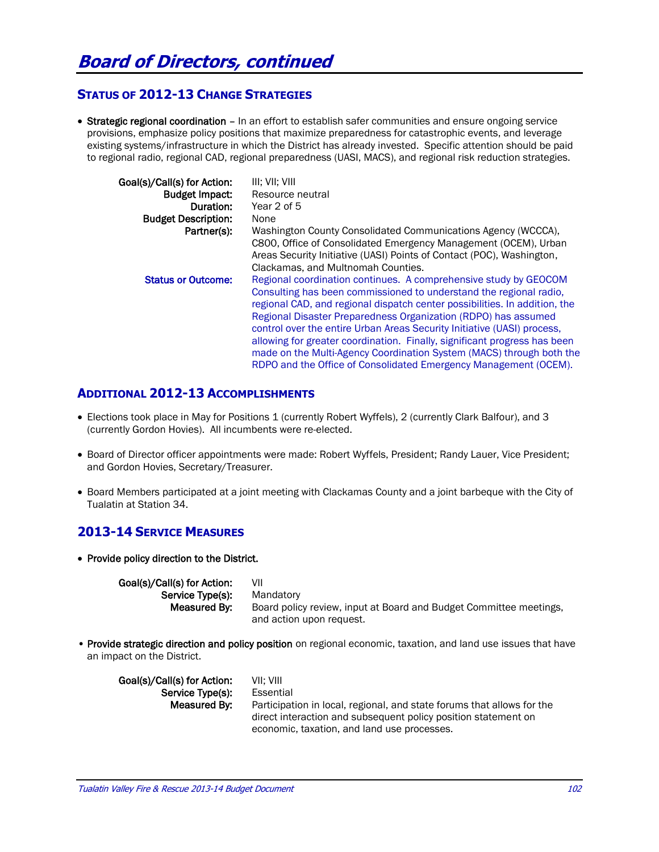## **STATUS OF 2012-13 CHANGE STRATEGIES**

• Strategic regional coordination – In an effort to establish safer communities and ensure ongoing service provisions, emphasize policy positions that maximize preparedness for catastrophic events, and leverage existing systems/infrastructure in which the District has already invested. Specific attention should be paid to regional radio, regional CAD, regional preparedness (UASI, MACS), and regional risk reduction strategies.

| Goal(s)/Call(s) for Action:<br><b>Budget Impact:</b><br>Duration:<br><b>Budget Description:</b><br>Partner(s): | III: VII: VIII<br>Resource neutral<br>Year 2 of 5<br>None<br>Washington County Consolidated Communications Agency (WCCCA).<br>C800, Office of Consolidated Emergency Management (OCEM), Urban                                                                                                                                                                     |  |  |
|----------------------------------------------------------------------------------------------------------------|-------------------------------------------------------------------------------------------------------------------------------------------------------------------------------------------------------------------------------------------------------------------------------------------------------------------------------------------------------------------|--|--|
|                                                                                                                | Areas Security Initiative (UASI) Points of Contact (POC), Washington,<br>Clackamas, and Multnomah Counties.                                                                                                                                                                                                                                                       |  |  |
| <b>Status or Outcome:</b>                                                                                      | Regional coordination continues. A comprehensive study by GEOCOM<br>Consulting has been commissioned to understand the regional radio.<br>regional CAD, and regional dispatch center possibilities. In addition, the<br>Regional Disaster Preparedness Organization (RDPO) has assumed<br>control over the entire Urban Areas Security Initiative (UASI) process. |  |  |
|                                                                                                                | allowing for greater coordination. Finally, significant progress has been<br>made on the Multi-Agency Coordination System (MACS) through both the<br>RDPO and the Office of Consolidated Emergency Management (OCEM).                                                                                                                                             |  |  |

## **ADDITIONAL 2012-13 ACCOMPLISHMENTS**

- Elections took place in May for Positions 1 (currently Robert Wyffels), 2 (currently Clark Balfour), and 3 (currently Gordon Hovies). All incumbents were re-elected.
- Board of Director officer appointments were made: Robert Wyffels, President; Randy Lauer, Vice President; and Gordon Hovies, Secretary/Treasurer.
- Board Members participated at a joint meeting with Clackamas County and a joint barbeque with the City of Tualatin at Station 34.

## **2013-14 SERVICE MEASURES**

• Provide policy direction to the District.

| Goal(s)/Call(s) for Action: | VII                                                                                            |
|-----------------------------|------------------------------------------------------------------------------------------------|
| Service Type(s):            | Mandatory                                                                                      |
| Measured By:                | Board policy review, input at Board and Budget Committee meetings,<br>and action upon request. |
|                             |                                                                                                |

• Provide strategic direction and policy position on regional economic, taxation, and land use issues that have an impact on the District.

| Goal(s)/Call(s) for Action: | VII: VIII                                                              |
|-----------------------------|------------------------------------------------------------------------|
| Service Type(s):            | Essential                                                              |
| Measured By:                | Participation in local, regional, and state forums that allows for the |
|                             | direct interaction and subsequent policy position statement on         |
|                             | economic, taxation, and land use processes.                            |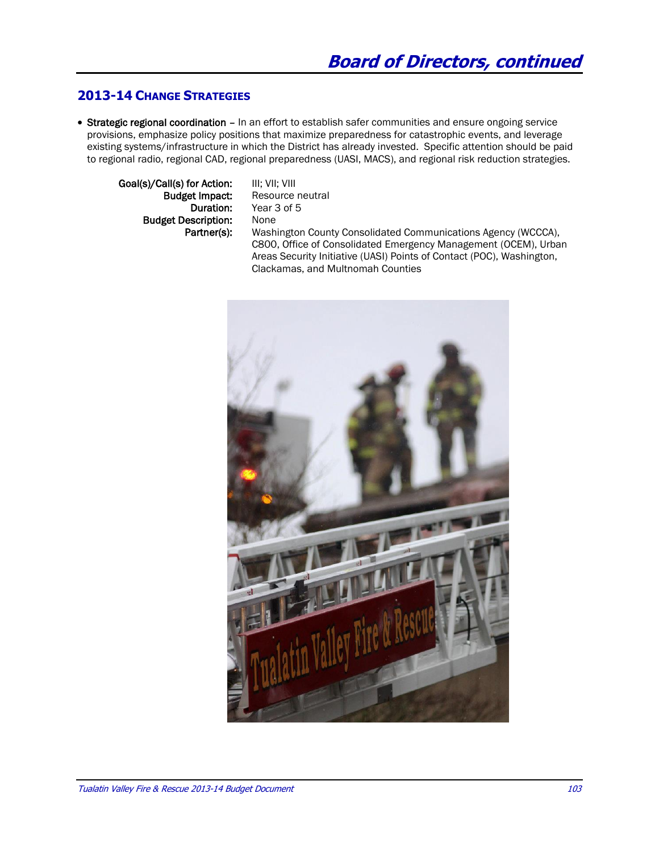## **2013-14 CHANGE STRATEGIES**

• Strategic regional coordination – In an effort to establish safer communities and ensure ongoing service provisions, emphasize policy positions that maximize preparedness for catastrophic events, and leverage existing systems/infrastructure in which the District has already invested. Specific attention should be paid to regional radio, regional CAD, regional preparedness (UASI, MACS), and regional risk reduction strategies.

Goal(s)/Call(s) for Action: III; VII; VIII **Budget Description:** None

**Budget Impact:** Resource neutral<br> **Duration:** Year 3 of 5 Year 3 of 5 Partner(s): Washington County Consolidated Communications Agency (WCCCA), C800, Office of Consolidated Emergency Management (OCEM), Urban Areas Security Initiative (UASI) Points of Contact (POC), Washington, Clackamas, and Multnomah Counties